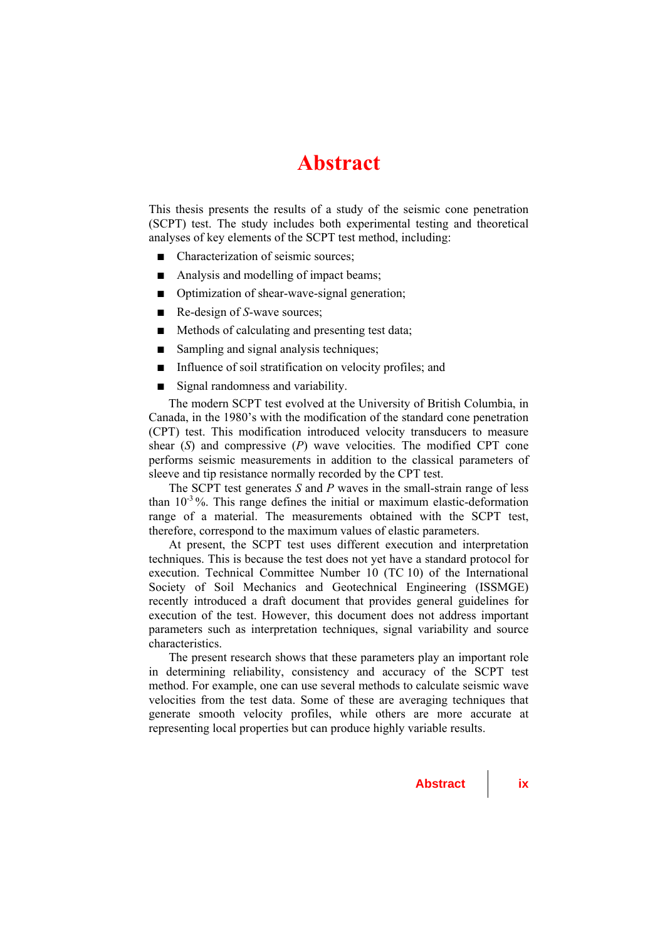## **Abstract**

This thesis presents the results of a study of the seismic cone penetration (SCPT) test. The study includes both experimental testing and theoretical analyses of key elements of the SCPT test method, including:

- Characterization of seismic sources;
- Analysis and modelling of impact beams;
- Optimization of shear-wave-signal generation:
- Re-design of *S*-wave sources;
- Methods of calculating and presenting test data;
- Sampling and signal analysis techniques;
- Influence of soil stratification on velocity profiles; and
- Signal randomness and variability.

The modern SCPT test evolved at the University of British Columbia, in Canada, in the 1980's with the modification of the standard cone penetration (CPT) test. This modification introduced velocity transducers to measure shear (*S*) and compressive (*P*) wave velocities. The modified CPT cone performs seismic measurements in addition to the classical parameters of sleeve and tip resistance normally recorded by the CPT test.

The SCPT test generates *S* and *P* waves in the small-strain range of less than  $10^{-3}$ %. This range defines the initial or maximum elastic-deformation range of a material. The measurements obtained with the SCPT test, therefore, correspond to the maximum values of elastic parameters.

At present, the SCPT test uses different execution and interpretation techniques. This is because the test does not yet have a standard protocol for execution. Technical Committee Number 10 (TC 10) of the International Society of Soil Mechanics and Geotechnical Engineering (ISSMGE) recently introduced a draft document that provides general guidelines for execution of the test. However, this document does not address important parameters such as interpretation techniques, signal variability and source characteristics.

The present research shows that these parameters play an important role in determining reliability, consistency and accuracy of the SCPT test method. For example, one can use several methods to calculate seismic wave velocities from the test data. Some of these are averaging techniques that generate smooth velocity profiles, while others are more accurate at representing local properties but can produce highly variable results.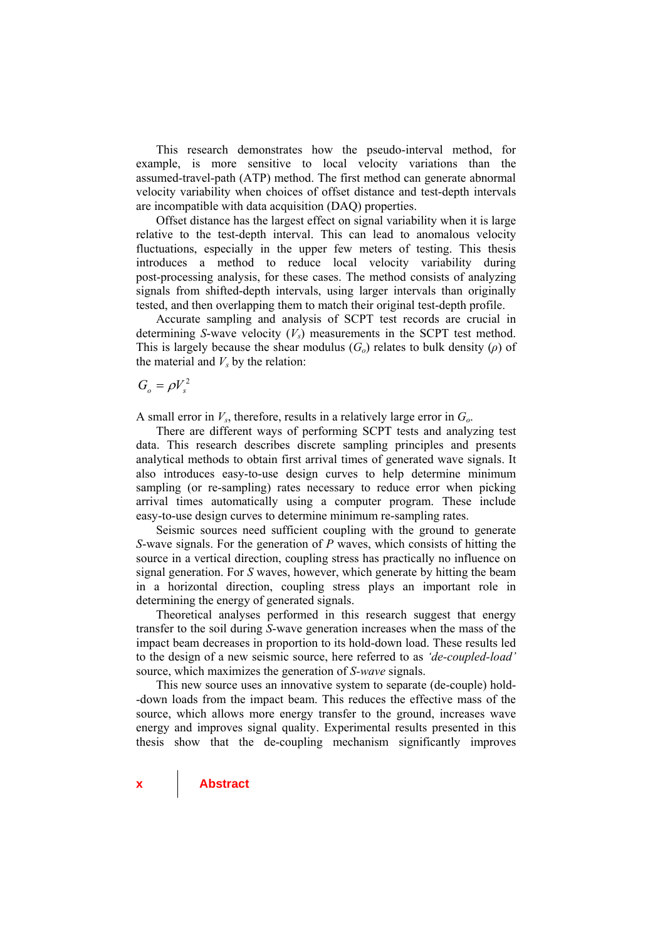This research demonstrates how the pseudo-interval method, for example, is more sensitive to local velocity variations than the assumed-travel-path (ATP) method. The first method can generate abnormal velocity variability when choices of offset distance and test-depth intervals are incompatible with data acquisition (DAQ) properties.

Offset distance has the largest effect on signal variability when it is large relative to the test-depth interval. This can lead to anomalous velocity fluctuations, especially in the upper few meters of testing. This thesis introduces a method to reduce local velocity variability during post-processing analysis, for these cases. The method consists of analyzing signals from shifted-depth intervals, using larger intervals than originally tested, and then overlapping them to match their original test-depth profile.

Accurate sampling and analysis of SCPT test records are crucial in determining *S*-wave velocity  $(V_s)$  measurements in the SCPT test method. This is largely because the shear modulus  $(G<sub>o</sub>)$  relates to bulk density  $(\rho)$  of the material and  $V<sub>s</sub>$  by the relation:

 $G_{\circ} = \rho V_{\circ}^2$ 

A small error in *Vs*, therefore, results in a relatively large error in *Go*.

There are different ways of performing SCPT tests and analyzing test data. This research describes discrete sampling principles and presents analytical methods to obtain first arrival times of generated wave signals. It also introduces easy-to-use design curves to help determine minimum sampling (or re-sampling) rates necessary to reduce error when picking arrival times automatically using a computer program. These include easy-to-use design curves to determine minimum re-sampling rates.

Seismic sources need sufficient coupling with the ground to generate *S*-wave signals. For the generation of *P* waves, which consists of hitting the source in a vertical direction, coupling stress has practically no influence on signal generation. For *S* waves, however, which generate by hitting the beam in a horizontal direction, coupling stress plays an important role in determining the energy of generated signals.

Theoretical analyses performed in this research suggest that energy transfer to the soil during *S*-wave generation increases when the mass of the impact beam decreases in proportion to its hold-down load. These results led to the design of a new seismic source, here referred to as *'de-coupled-load'* source, which maximizes the generation of *S-wave* signals.

This new source uses an innovative system to separate (de-couple) hold- -down loads from the impact beam. This reduces the effective mass of the source, which allows more energy transfer to the ground, increases wave energy and improves signal quality. Experimental results presented in this thesis show that the de-coupling mechanism significantly improves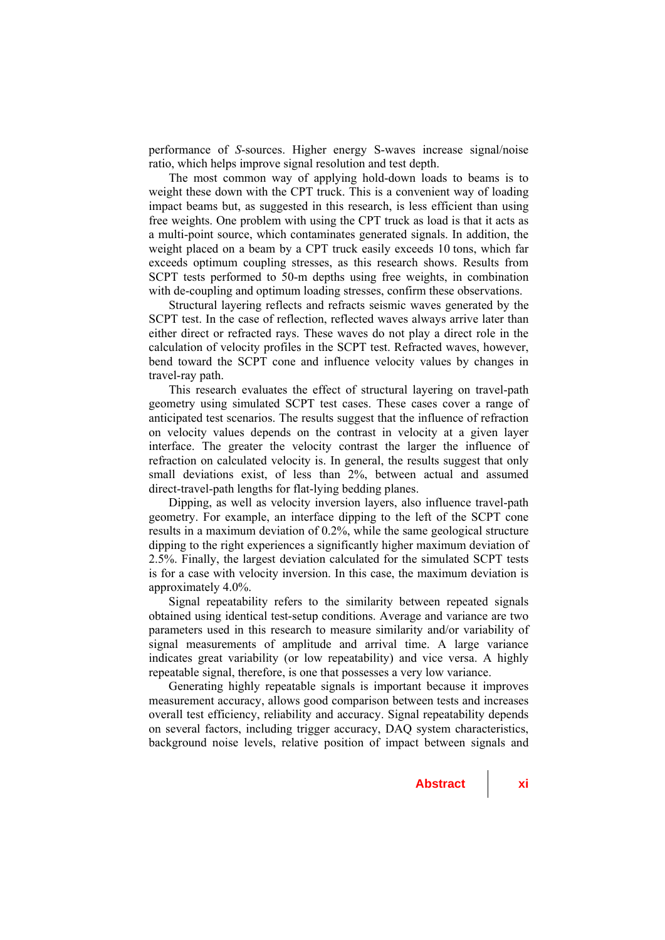performance of *S*-sources. Higher energy S-waves increase signal/noise ratio, which helps improve signal resolution and test depth.

The most common way of applying hold-down loads to beams is to weight these down with the CPT truck. This is a convenient way of loading impact beams but, as suggested in this research, is less efficient than using free weights. One problem with using the CPT truck as load is that it acts as a multi-point source, which contaminates generated signals. In addition, the weight placed on a beam by a CPT truck easily exceeds 10 tons, which far exceeds optimum coupling stresses, as this research shows. Results from SCPT tests performed to 50-m depths using free weights, in combination with de-coupling and optimum loading stresses, confirm these observations.

Structural layering reflects and refracts seismic waves generated by the SCPT test. In the case of reflection, reflected waves always arrive later than either direct or refracted rays. These waves do not play a direct role in the calculation of velocity profiles in the SCPT test. Refracted waves, however, bend toward the SCPT cone and influence velocity values by changes in travel-ray path.

This research evaluates the effect of structural layering on travel-path geometry using simulated SCPT test cases. These cases cover a range of anticipated test scenarios. The results suggest that the influence of refraction on velocity values depends on the contrast in velocity at a given layer interface. The greater the velocity contrast the larger the influence of refraction on calculated velocity is. In general, the results suggest that only small deviations exist, of less than 2%, between actual and assumed direct-travel-path lengths for flat-lying bedding planes.

Dipping, as well as velocity inversion layers, also influence travel-path geometry. For example, an interface dipping to the left of the SCPT cone results in a maximum deviation of 0.2%, while the same geological structure dipping to the right experiences a significantly higher maximum deviation of 2.5%. Finally, the largest deviation calculated for the simulated SCPT tests is for a case with velocity inversion. In this case, the maximum deviation is approximately 4.0%.

Signal repeatability refers to the similarity between repeated signals obtained using identical test-setup conditions. Average and variance are two parameters used in this research to measure similarity and/or variability of signal measurements of amplitude and arrival time. A large variance indicates great variability (or low repeatability) and vice versa. A highly repeatable signal, therefore, is one that possesses a very low variance.

Generating highly repeatable signals is important because it improves measurement accuracy, allows good comparison between tests and increases overall test efficiency, reliability and accuracy. Signal repeatability depends on several factors, including trigger accuracy, DAQ system characteristics, background noise levels, relative position of impact between signals and